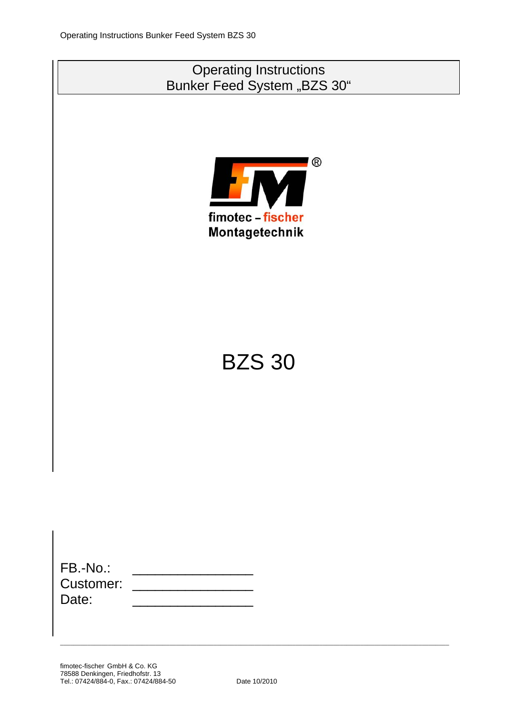# Operating Instructions Bunker Feed System "BZS 30"



# BZS 30

| $FB.-No.$ |  |
|-----------|--|
| Customer: |  |
| Date:     |  |

\_\_\_\_\_\_\_\_\_\_\_\_\_\_\_\_\_\_\_\_\_\_\_\_\_\_\_\_\_\_\_\_\_\_\_\_\_\_\_\_\_\_\_\_\_\_\_\_\_\_\_\_\_\_\_\_\_\_\_\_\_\_\_\_\_\_\_\_\_\_\_\_\_\_\_\_\_\_\_\_\_\_\_\_\_\_\_\_\_\_\_\_\_\_\_\_\_\_\_\_\_\_\_\_\_\_\_\_\_\_\_\_\_\_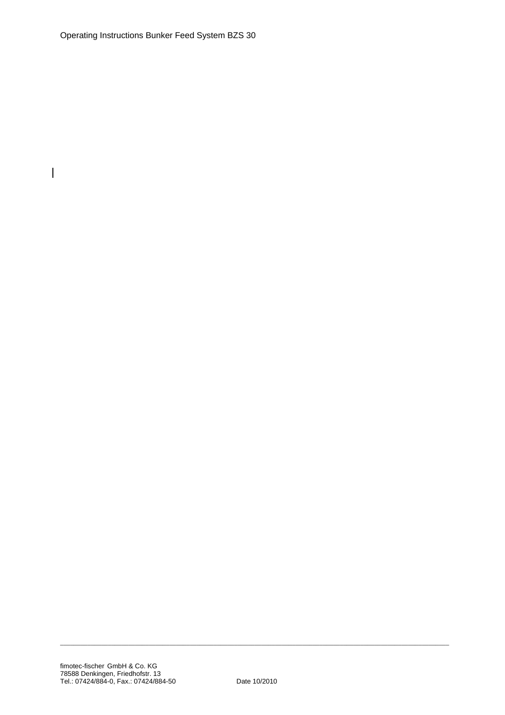Operating Instructions Bunker Feed System BZS 30

 $\overline{\phantom{a}}$ 

\_\_\_\_\_\_\_\_\_\_\_\_\_\_\_\_\_\_\_\_\_\_\_\_\_\_\_\_\_\_\_\_\_\_\_\_\_\_\_\_\_\_\_\_\_\_\_\_\_\_\_\_\_\_\_\_\_\_\_\_\_\_\_\_\_\_\_\_\_\_\_\_\_\_\_\_\_\_\_\_\_\_\_\_\_\_\_\_\_\_\_\_\_\_\_\_\_\_\_\_\_\_\_\_\_\_\_\_\_\_\_\_\_\_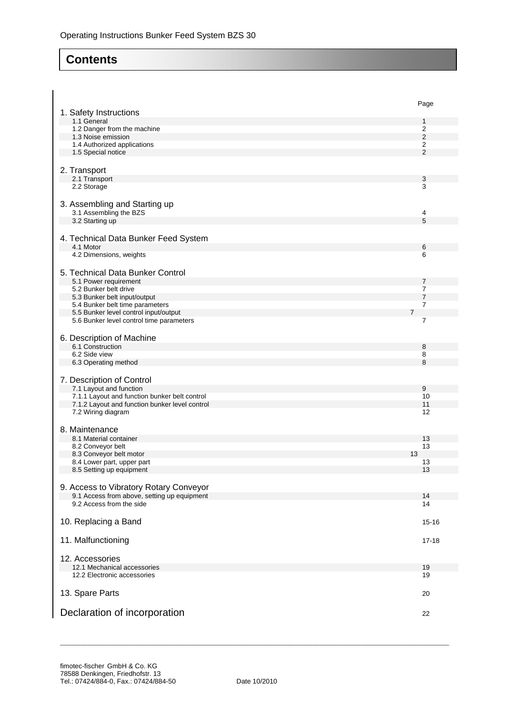#### **Contents**

|                                                | Page           |
|------------------------------------------------|----------------|
| 1. Safety Instructions                         |                |
| 1.1 General                                    | $\mathbf{1}$   |
| 1.2 Danger from the machine                    | $\overline{c}$ |
| 1.3 Noise emission                             | $\overline{2}$ |
| 1.4 Authorized applications                    | $\overline{c}$ |
| 1.5 Special notice                             | $\overline{2}$ |
|                                                |                |
| 2. Transport                                   |                |
| 2.1 Transport                                  | 3              |
| 2.2 Storage                                    | 3              |
|                                                |                |
| 3. Assembling and Starting up                  |                |
| 3.1 Assembling the BZS                         |                |
| 3.2 Starting up                                | 4<br>5         |
|                                                |                |
|                                                |                |
| 4. Technical Data Bunker Feed System           |                |
| 4.1 Motor                                      | 6              |
| 4.2 Dimensions, weights                        | 6              |
|                                                |                |
| 5. Technical Data Bunker Control               |                |
| 5.1 Power requirement                          | $\overline{7}$ |
| 5.2 Bunker belt drive                          | $\overline{7}$ |
| 5.3 Bunker belt input/output                   | $\overline{7}$ |
| 5.4 Bunker belt time parameters                | $\overline{7}$ |
| 5.5 Bunker level control input/output          | $\overline{7}$ |
| 5.6 Bunker level control time parameters       | 7              |
|                                                |                |
|                                                |                |
| 6. Description of Machine                      |                |
| 6.1 Construction                               | 8              |
| 6.2 Side view                                  | 8              |
| 6.3 Operating method                           | 8              |
|                                                |                |
| 7. Description of Control                      |                |
| 7.1 Layout and function                        | 9              |
| 7.1.1 Layout and function bunker belt control  | 10             |
|                                                | 11             |
| 7.1.2 Layout and function bunker level control | 12             |
| 7.2 Wiring diagram                             |                |
|                                                |                |
| 8. Maintenance                                 |                |
| 8.1 Material container                         | 13             |
| 8.2 Conveyor belt                              | 13             |
| 8.3 Conveyor belt motor                        | 13             |
| 8.4 Lower part, upper part                     | 13             |
| 8.5 Setting up equipment                       | 13             |
|                                                |                |
| 9. Access to Vibratory Rotary Conveyor         |                |
| 9.1 Access from above, setting up equipment    | 14             |
| 9.2 Access from the side                       | 14             |
|                                                |                |
|                                                |                |
| 10. Replacing a Band                           | $15 - 16$      |
|                                                |                |
| 11. Malfunctioning                             | $17 - 18$      |
|                                                |                |
| 12. Accessories                                |                |
| 12.1 Mechanical accessories                    |                |
|                                                | 19             |
| 12.2 Electronic accessories                    | 19             |
|                                                |                |
| 13. Spare Parts                                | 20             |
|                                                |                |
| Declaration of incorporation                   |                |
|                                                | 22             |
|                                                |                |

\_\_\_\_\_\_\_\_\_\_\_\_\_\_\_\_\_\_\_\_\_\_\_\_\_\_\_\_\_\_\_\_\_\_\_\_\_\_\_\_\_\_\_\_\_\_\_\_\_\_\_\_\_\_\_\_\_\_\_\_\_\_\_\_\_\_\_\_\_\_\_\_\_\_\_\_\_\_\_\_\_\_\_\_\_\_\_\_\_\_\_\_\_\_\_\_\_\_\_\_\_\_\_\_\_\_\_\_\_\_\_\_\_\_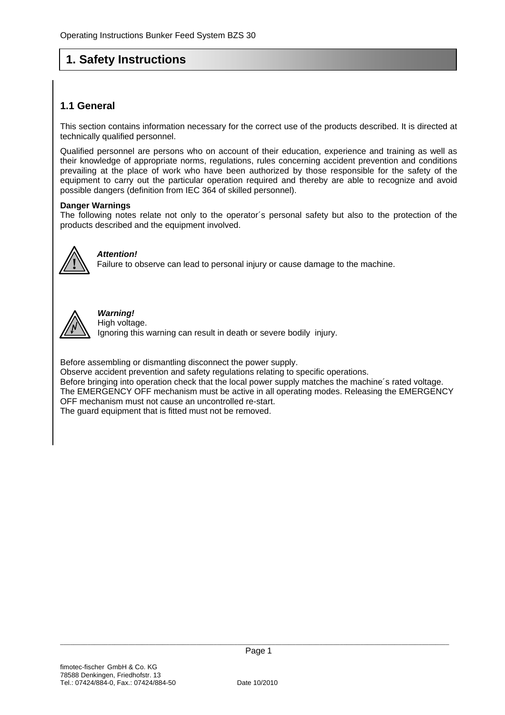### **1. Safety Instructions**

#### **1.1 General**

This section contains information necessary for the correct use of the products described. It is directed at technically qualified personnel.

Qualified personnel are persons who on account of their education, experience and training as well as their knowledge of appropriate norms, regulations, rules concerning accident prevention and conditions prevailing at the place of work who have been authorized by those responsible for the safety of the equipment to carry out the particular operation required and thereby are able to recognize and avoid possible dangers (definition from IEC 364 of skilled personnel).

#### **Danger Warnings**

The following notes relate not only to the operator´s personal safety but also to the protection of the products described and the equipment involved.



#### *Attention!*

Failure to observe can lead to personal injury or cause damage to the machine.



#### *Warning!*

High voltage. Ignoring this warning can result in death or severe bodily injury.

Before assembling or dismantling disconnect the power supply.

Observe accident prevention and safety regulations relating to specific operations. Before bringing into operation check that the local power supply matches the machine´s rated voltage. The EMERGENCY OFF mechanism must be active in all operating modes. Releasing the EMERGENCY OFF mechanism must not cause an uncontrolled re-start.

The guard equipment that is fitted must not be removed.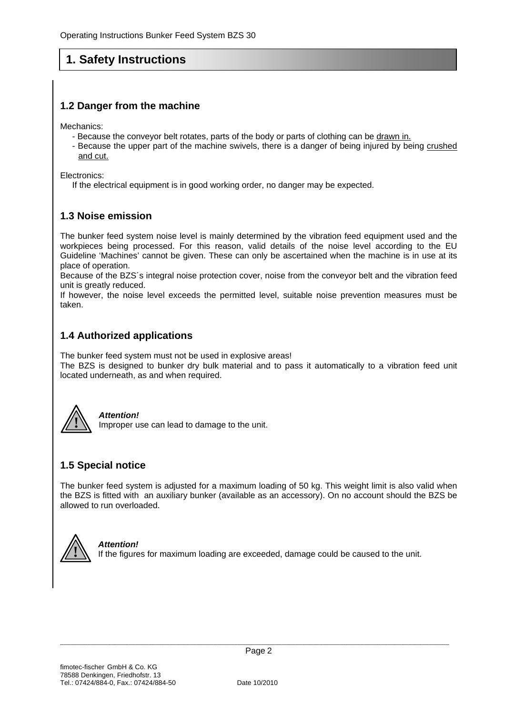### **1. Safety Instructions**

#### **1.2 Danger from the machine**

Mechanics:

- Because the conveyor belt rotates, parts of the body or parts of clothing can be drawn in.
- Because the upper part of the machine swivels, there is a danger of being injured by being crushed and cut.

Electronics:

If the electrical equipment is in good working order, no danger may be expected.

#### **1.3 Noise emission**

The bunker feed system noise level is mainly determined by the vibration feed equipment used and the workpieces being processed. For this reason, valid details of the noise level according to the EU Guideline 'Machines' cannot be given. These can only be ascertained when the machine is in use at its place of operation.

Because of the BZS´s integral noise protection cover, noise from the conveyor belt and the vibration feed unit is greatly reduced.

If however, the noise level exceeds the permitted level, suitable noise prevention measures must be taken.

#### **1.4 Authorized applications**

The bunker feed system must not be used in explosive areas! The BZS is designed to bunker dry bulk material and to pass it automatically to a vibration feed unit located underneath, as and when required.



#### *Attention!*

Improper use can lead to damage to the unit.

#### **1.5 Special notice**

The bunker feed system is adjusted for a maximum loading of 50 kg. This weight limit is also valid when the BZS is fitted with an auxiliary bunker (available as an accessory). On no account should the BZS be allowed to run overloaded.



#### *Attention!*

If the figures for maximum loading are exceeded, damage could be caused to the unit.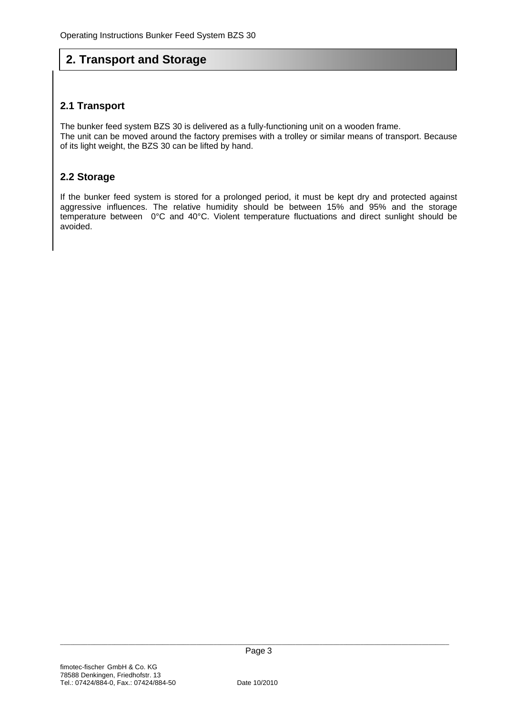### **2. Transport and Storage**

#### **2.1 Transport**

The bunker feed system BZS 30 is delivered as a fully-functioning unit on a wooden frame. The unit can be moved around the factory premises with a trolley or similar means of transport. Because of its light weight, the BZS 30 can be lifted by hand.

#### **2.2 Storage**

If the bunker feed system is stored for a prolonged period, it must be kept dry and protected against aggressive influences. The relative humidity should be between 15% and 95% and the storage temperature between 0°C and 40°C. Violent temperature fluctuations and direct sunlight should be avoided.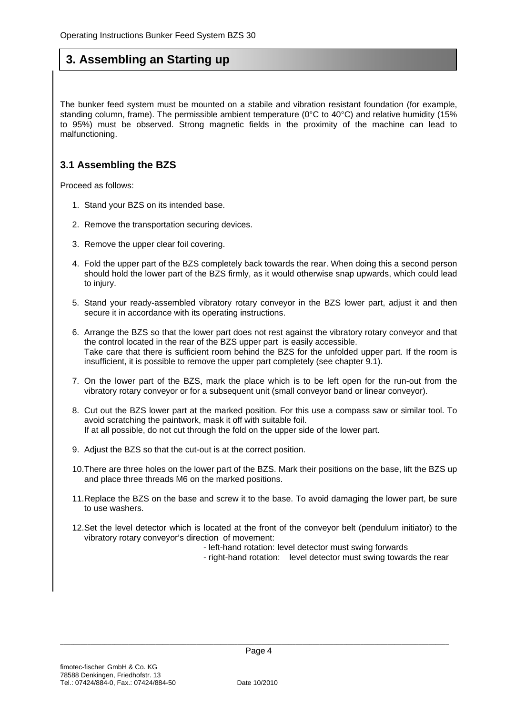#### **3. Assembling an Starting up**

The bunker feed system must be mounted on a stabile and vibration resistant foundation (for example, standing column, frame). The permissible ambient temperature (0°C to 40°C) and relative humidity (15% to 95%) must be observed. Strong magnetic fields in the proximity of the machine can lead to malfunctioning.

#### **3.1 Assembling the BZS**

Proceed as follows:

- 1. Stand your BZS on its intended base.
- 2. Remove the transportation securing devices.
- 3. Remove the upper clear foil covering.
- 4. Fold the upper part of the BZS completely back towards the rear. When doing this a second person should hold the lower part of the BZS firmly, as it would otherwise snap upwards, which could lead to injury.
- 5. Stand your ready-assembled vibratory rotary conveyor in the BZS lower part, adjust it and then secure it in accordance with its operating instructions.
- 6. Arrange the BZS so that the lower part does not rest against the vibratory rotary conveyor and that the control located in the rear of the BZS upper part is easily accessible. Take care that there is sufficient room behind the BZS for the unfolded upper part. If the room is insufficient, it is possible to remove the upper part completely (see chapter 9.1).
- 7. On the lower part of the BZS, mark the place which is to be left open for the run-out from the vibratory rotary conveyor or for a subsequent unit (small conveyor band or linear conveyor).
- 8. Cut out the BZS lower part at the marked position. For this use a compass saw or similar tool. To avoid scratching the paintwork, mask it off with suitable foil. If at all possible, do not cut through the fold on the upper side of the lower part.
- 9. Adjust the BZS so that the cut-out is at the correct position.
- 10. There are three holes on the lower part of the BZS. Mark their positions on the base, lift the BZS up and place three threads M6 on the marked positions.
- 11. Replace the BZS on the base and screw it to the base. To avoid damaging the lower part, be sure to use washers.
- 12. Set the level detector which is located at the front of the conveyor belt (pendulum initiator) to the vibratory rotary conveyor's direction of movement:
	- left-hand rotation: level detector must swing forwards
	- right-hand rotation: level detector must swing towards the rear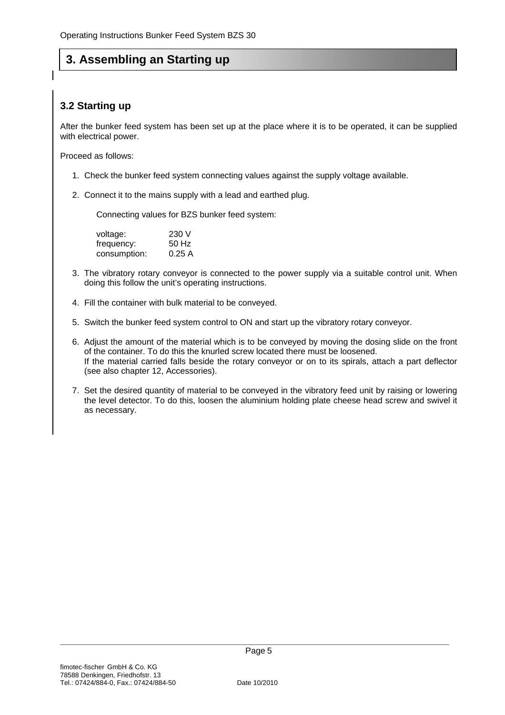### **3. Assembling an Starting up**

#### **3.2 Starting up**

After the bunker feed system has been set up at the place where it is to be operated, it can be supplied with electrical power.

Proceed as follows:

- 1. Check the bunker feed system connecting values against the supply voltage available.
- 2. Connect it to the mains supply with a lead and earthed plug.

Connecting values for BZS bunker feed system:

| voltage:     | 230 V |
|--------------|-------|
| frequency:   | 50 Hz |
| consumption: | 0.25A |

- 3. The vibratory rotary conveyor is connected to the power supply via a suitable control unit. When doing this follow the unit's operating instructions.
- 4. Fill the container with bulk material to be conveyed.
- 5. Switch the bunker feed system control to ON and start up the vibratory rotary conveyor.
- 6. Adjust the amount of the material which is to be conveyed by moving the dosing slide on the front of the container. To do this the knurled screw located there must be loosened. If the material carried falls beside the rotary conveyor or on to its spirals, attach a part deflector (see also chapter 12, Accessories).
- 7. Set the desired quantity of material to be conveyed in the vibratory feed unit by raising or lowering the level detector. To do this, loosen the aluminium holding plate cheese head screw and swivel it as necessary.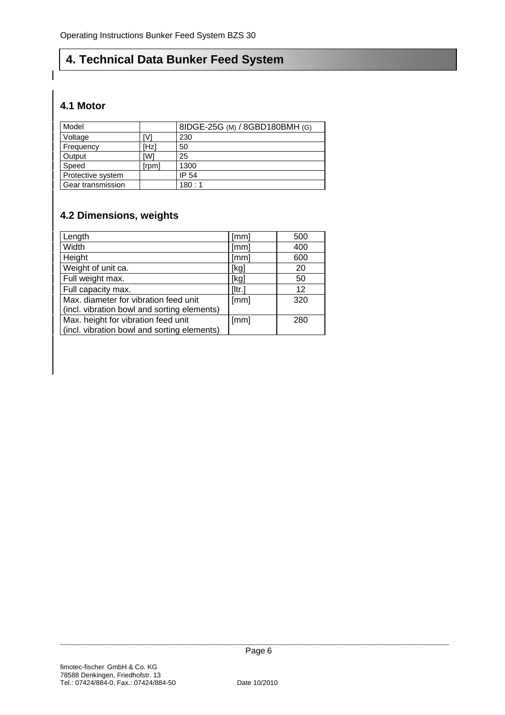## **4. Technical Data Bunker Feed System**

#### **4.1 Motor**

| Model             |       | 8IDGE-25G (M) / 8GBD180BMH (G) |
|-------------------|-------|--------------------------------|
| Voltage           | ΓV    | 230                            |
| Frequency         | [Hz]  | 50                             |
| Output            | [W]   | 25                             |
| Speed             | [rpm] | 1300                           |
| Protective system |       | IP 54                          |
| Gear transmission |       | 180:1                          |

### **4.2 Dimensions, weights**

| Length                                      | [mm]      | 500 |
|---------------------------------------------|-----------|-----|
| Width                                       | [mm]      | 400 |
| Height                                      | [mm]      | 600 |
| Weight of unit ca.                          | [kg]      | 20  |
| Full weight max.                            | [kg]      | 50  |
| Full capacity max.                          | $[$ Itr.] | 12  |
| Max, diameter for vibration feed unit       | [mm]      | 320 |
| (incl. vibration bowl and sorting elements) |           |     |
| Max. height for vibration feed unit         | [mm]      | 280 |
| (incl. vibration bowl and sorting elements) |           |     |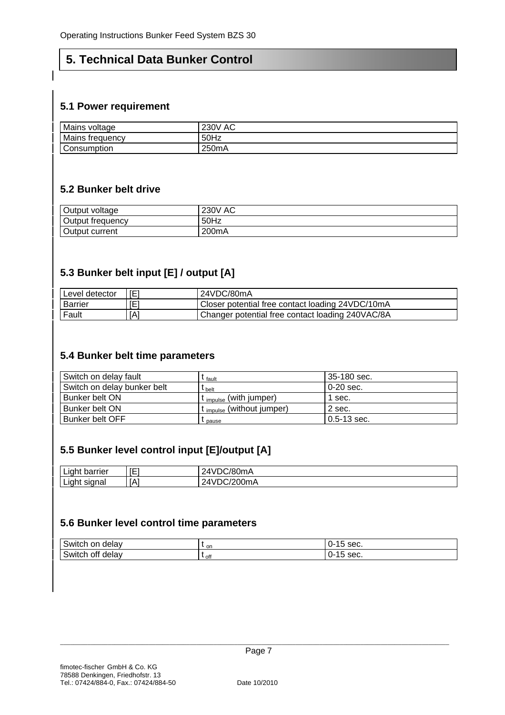### **5. Technical Data Bunker Control**

#### **5.1 Power requirement**

| Mains voltage   | <b>230V AC</b>     |
|-----------------|--------------------|
| Mains frequency | 50Hz               |
| Consumption     | 250 <sub>m</sub> A |

#### **5.2 Bunker belt drive**

| Output voltage   | <b>230V AC</b>     |
|------------------|--------------------|
| Output frequency | 50Hz               |
| Output current   | 200 <sub>m</sub> A |

### **5.3 Bunker belt input [E] / output [A]**

| Level detector | [E] | 24VDC/80mA                                       |
|----------------|-----|--------------------------------------------------|
| <b>Barrier</b> | [E] | Closer potential free contact loading 24VDC/10mA |
| Fault          | [A] | Changer potential free contact loading 240VAC/8A |

#### **5.4 Bunker belt time parameters**

| Switch on delay fault       | fault                                 | 35-180 sec.     |
|-----------------------------|---------------------------------------|-----------------|
| Switch on delay bunker belt | <sup>I</sup> belt                     | $0-20$ sec.     |
| Bunker belt ON              | $t_{impulse}$ (with jumper)           | 1 sec.          |
| Bunker belt ON              | t <sub>impulse</sub> (without jumper) | 2 sec.          |
| Bunker belt OFF             | bause                                 | $0.5 - 13$ sec. |

#### **5.5 Bunker level control input [E]/output [A]**

| ∟igh'<br>barrier                      | [E] | $\sqrt{2}$<br>/80ma<br>$\mathbf{v}$<br>−<br><u>.</u>                |
|---------------------------------------|-----|---------------------------------------------------------------------|
| $\mathbf{r}$<br>∟igh′<br>siana<br>ıdı | [A] | $\overline{\phantom{a}}$<br>J∪mA<br>$\mathbf{v}$<br>. .<br><u>.</u> |

#### **5.6 Bunker level control time parameters**

| <b>Switch</b><br>on<br>delav     | on    | $\overline{\phantom{0}}$<br><b>000</b><br>SU.<br>w |
|----------------------------------|-------|----------------------------------------------------|
| $\sim$<br>Witch.<br>delav<br>off | · off | $\overline{\phantom{0}}$<br>coo<br>ວອບ             |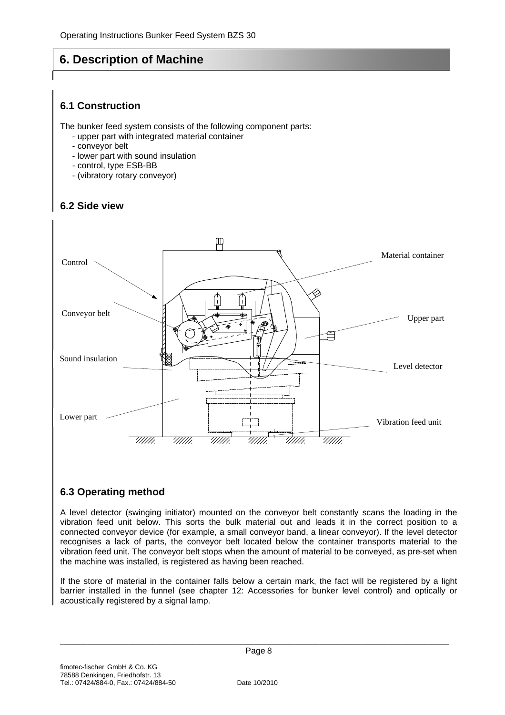### **6. Description of Machine**

#### **6.1 Construction**

The bunker feed system consists of the following component parts:

- upper part with integrated material container
- conveyor belt
- lower part with sound insulation
- control, type ESB-BB
- (vibratory rotary conveyor)

#### **6.2 Side view**



#### **6.3 Operating method**

A level detector (swinging initiator) mounted on the conveyor belt constantly scans the loading in the vibration feed unit below. This sorts the bulk material out and leads it in the correct position to a connected conveyor device (for example, a small conveyor band, a linear conveyor). If the level detector recognises a lack of parts, the conveyor belt located below the container transports material to the vibration feed unit. The conveyor belt stops when the amount of material to be conveyed, as pre-set when the machine was installed, is registered as having been reached.

If the store of material in the container falls below a certain mark, the fact will be registered by a light barrier installed in the funnel (see chapter 12: Accessories for bunker level control) and optically or acoustically registered by a signal lamp.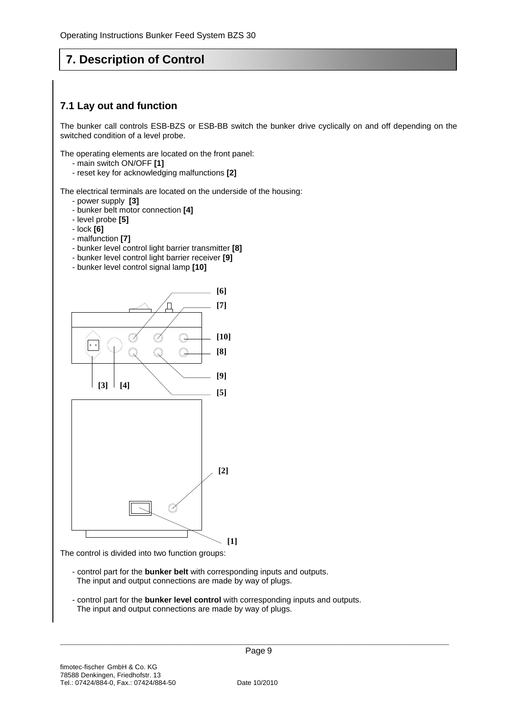#### **7.1 Lay out and function**

The bunker call controls ESB-BZS or ESB-BB switch the bunker drive cyclically on and off depending on the switched condition of a level probe.

The operating elements are located on the front panel:

- main switch ON/OFF **[1]**
- reset key for acknowledging malfunctions **[2]**

The electrical terminals are located on the underside of the housing:

- power supply **[3]**
- bunker belt motor connection **[4]**
- level probe **[5]**
- lock **[6]**
- malfunction **[7]**
- bunker level control light barrier transmitter **[8]**
- bunker level control light barrier receiver **[9]**
- bunker level control signal lamp **[10]**



The control is divided into two function groups:

- control part for the **bunker belt** with corresponding inputs and outputs. The input and output connections are made by way of plugs.
- control part for the **bunker level control** with corresponding inputs and outputs. The input and output connections are made by way of plugs.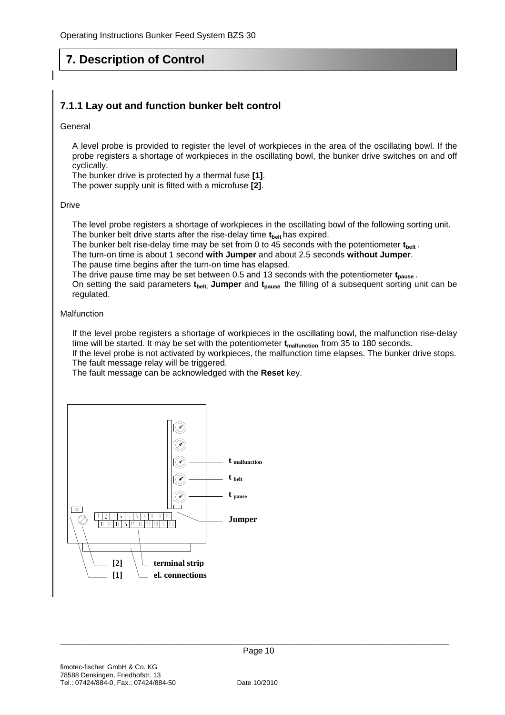#### **7.1.1 Lay out and function bunker belt control**

#### **General**

 A level probe is provided to register the level of workpieces in the area of the oscillating bowl. If the probe registers a shortage of workpieces in the oscillating bowl, the bunker drive switches on and off cyclically.

The bunker drive is protected by a thermal fuse **[1]**.

The power supply unit is fitted with a microfuse **[2]**.

#### Drive

 The level probe registers a shortage of workpieces in the oscillating bowl of the following sorting unit. The bunker belt drive starts after the rise-delay time **t**<sub>belt</sub> has expired.

The bunker belt rise-delay time may be set from 0 to 45 seconds with the potentiometer  $t_{\text{belt}}$ .

The turn-on time is about 1 second **with Jumper** and about 2.5 seconds **without Jumper**.

The pause time begins after the turn-on time has elapsed.

The drive pause time may be set between 0.5 and 13 seconds with the potentiometer t<sub>pause</sub>. On setting the said parameters t<sub>helt</sub>, Jumper and t<sub>pause</sub> the filling of a subsequent sorting unit can be

regulated.

#### **Malfunction**

 If the level probe registers a shortage of workpieces in the oscillating bowl, the malfunction rise-delay time will be started. It may be set with the potentiometer t<sub>malfunction</sub> from 35 to 180 seconds.

 If the level probe is not activated by workpieces, the malfunction time elapses. The bunker drive stops. The fault message relay will be triggered.

The fault message can be acknowledged with the **Reset** key.

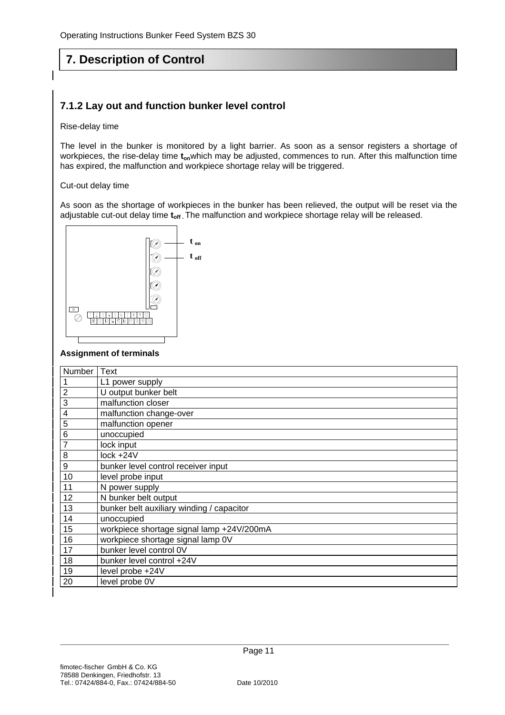#### **7.1.2 Lay out and function bunker level control**

Rise-delay time

The level in the bunker is monitored by a light barrier. As soon as a sensor registers a shortage of workpieces, the rise-delay time  $t_{on}$ which may be adjusted, commences to run. After this malfunction time has expired, the malfunction and workpiece shortage relay will be triggered.

Cut-out delay time

As soon as the shortage of workpieces in the bunker has been relieved, the output will be reset via the adjustable cut-out delay time t<sub>off</sub>. The malfunction and workpiece shortage relay will be released.



#### **Assignment of terminals**

| Number         | Text                                      |
|----------------|-------------------------------------------|
|                | L1 power supply                           |
| $\overline{2}$ | U output bunker belt                      |
| 3              | malfunction closer                        |
| 4              | malfunction change-over                   |
| 5              | malfunction opener                        |
| 6              | unoccupied                                |
| 7              | lock input                                |
| 8              | lock +24V                                 |
| 9              | bunker level control receiver input       |
| 10             | level probe input                         |
| 11             | N power supply                            |
| 12             | N bunker belt output                      |
| 13             | bunker belt auxiliary winding / capacitor |
| 14             | unoccupied                                |
| 15             | workpiece shortage signal lamp +24V/200mA |
| 16             | workpiece shortage signal lamp 0V         |
| 17             | bunker level control 0V                   |
| 18             | bunker level control +24V                 |
| 19             | level probe +24V                          |
| 20             | level probe 0V                            |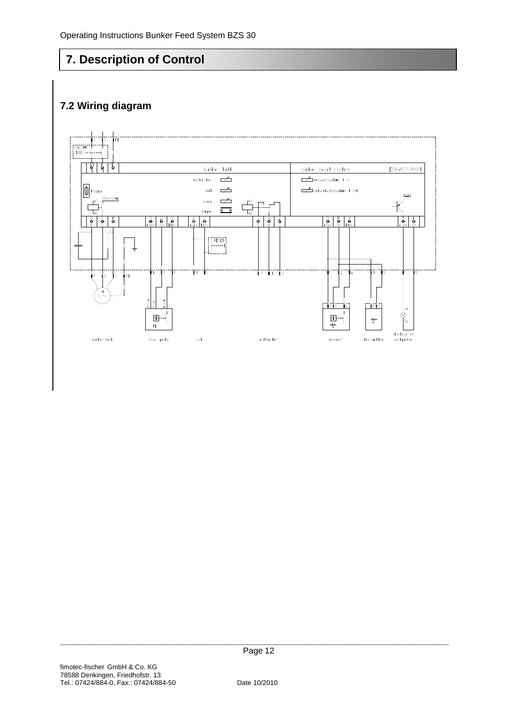#### **7.2 Wiring diagram**

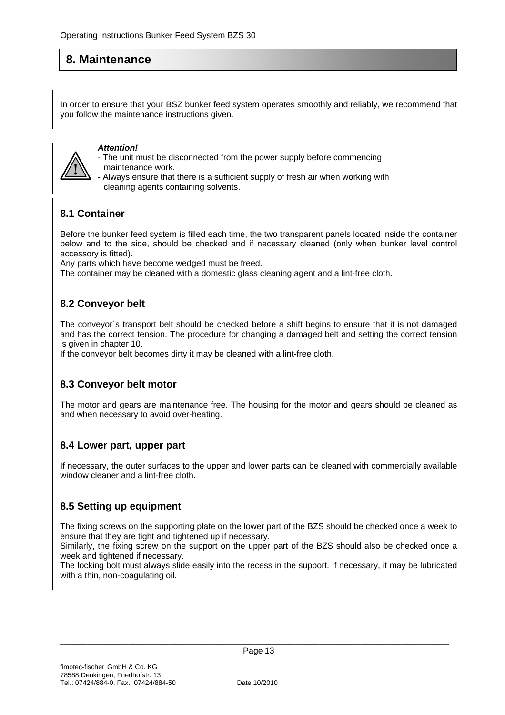### **8. Maintenance**

In order to ensure that your BSZ bunker feed system operates smoothly and reliably, we recommend that you follow the maintenance instructions given.

#### *Attention!*

- The unit must be disconnected from the power supply before commencing



maintenance work. Always ensure that there is a sufficient supply of fresh air when working with cleaning agents containing solvents.

#### **8.1 Container**

Before the bunker feed system is filled each time, the two transparent panels located inside the container below and to the side, should be checked and if necessary cleaned (only when bunker level control accessory is fitted).

Any parts which have become wedged must be freed.

The container may be cleaned with a domestic glass cleaning agent and a lint-free cloth.

#### **8.2 Conveyor belt**

The conveyor´s transport belt should be checked before a shift begins to ensure that it is not damaged and has the correct tension. The procedure for changing a damaged belt and setting the correct tension is given in chapter 10.

If the conveyor belt becomes dirty it may be cleaned with a lint-free cloth.

#### **8.3 Conveyor belt motor**

The motor and gears are maintenance free. The housing for the motor and gears should be cleaned as and when necessary to avoid over-heating.

#### **8.4 Lower part, upper part**

If necessary, the outer surfaces to the upper and lower parts can be cleaned with commercially available window cleaner and a lint-free cloth.

#### **8.5 Setting up equipment**

The fixing screws on the supporting plate on the lower part of the BZS should be checked once a week to ensure that they are tight and tightened up if necessary.

Similarly, the fixing screw on the support on the upper part of the BZS should also be checked once a week and tightened if necessary.

The locking bolt must always slide easily into the recess in the support. If necessary, it may be lubricated with a thin, non-coagulating oil.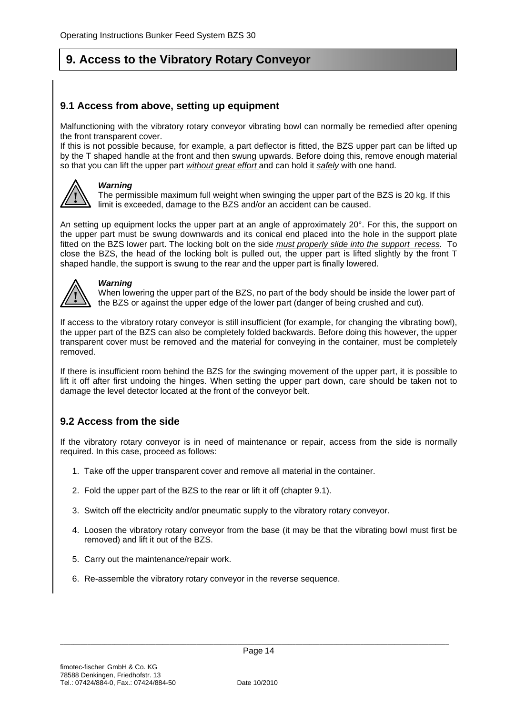### **9. Access to the Vibratory Rotary Conveyor**

#### **9.1 Access from above, setting up equipment**

Malfunctioning with the vibratory rotary conveyor vibrating bowl can normally be remedied after opening the front transparent cover.

If this is not possible because, for example, a part deflector is fitted, the BZS upper part can be lifted up by the T shaped handle at the front and then swung upwards. Before doing this, remove enough material so that you can lift the upper part *without great effort* and can hold it *safely* with one hand.



#### *Warning*

The permissible maximum full weight when swinging the upper part of the BZS is 20 kg. If this limit is exceeded, damage to the BZS and/or an accident can be caused.

An setting up equipment locks the upper part at an angle of approximately 20°. For this, the support on the upper part must be swung downwards and its conical end placed into the hole in the support plate fitted on the BZS lower part. The locking bolt on the side *must properly slide into the support recess.* To close the BZS, the head of the locking bolt is pulled out, the upper part is lifted slightly by the front T shaped handle, the support is swung to the rear and the upper part is finally lowered.



#### *Warning*

When lowering the upper part of the BZS, no part of the body should be inside the lower part of the BZS or against the upper edge of the lower part (danger of being crushed and cut).

If access to the vibratory rotary conveyor is still insufficient (for example, for changing the vibrating bowl), the upper part of the BZS can also be completely folded backwards. Before doing this however, the upper transparent cover must be removed and the material for conveying in the container, must be completely removed.

If there is insufficient room behind the BZS for the swinging movement of the upper part, it is possible to lift it off after first undoing the hinges. When setting the upper part down, care should be taken not to damage the level detector located at the front of the conveyor belt.

#### **9.2 Access from the side**

If the vibratory rotary conveyor is in need of maintenance or repair, access from the side is normally required. In this case, proceed as follows:

- 1. Take off the upper transparent cover and remove all material in the container.
- 2. Fold the upper part of the BZS to the rear or lift it off (chapter 9.1).
- 3. Switch off the electricity and/or pneumatic supply to the vibratory rotary conveyor.
- 4. Loosen the vibratory rotary conveyor from the base (it may be that the vibrating bowl must first be removed) and lift it out of the BZS.
- 5. Carry out the maintenance/repair work.
- 6. Re-assemble the vibratory rotary conveyor in the reverse sequence.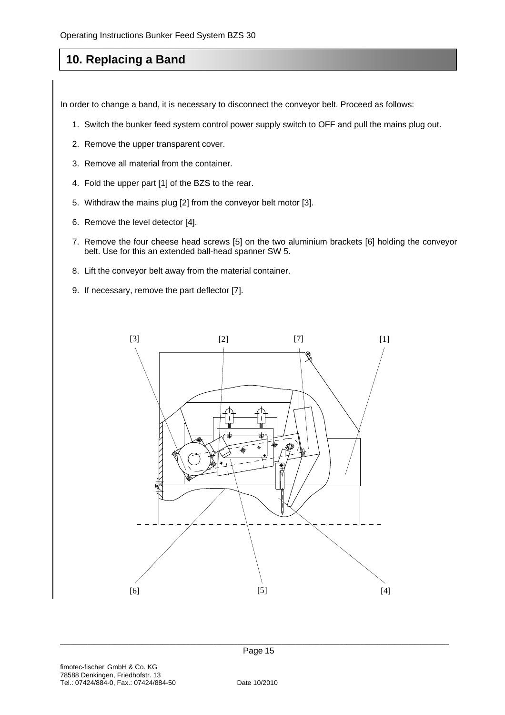#### **10. Replacing a Band**

In order to change a band, it is necessary to disconnect the conveyor belt. Proceed as follows:

- 1. Switch the bunker feed system control power supply switch to OFF and pull the mains plug out.
- 2. Remove the upper transparent cover.
- 3. Remove all material from the container.
- 4. Fold the upper part [1] of the BZS to the rear.
- 5. Withdraw the mains plug [2] from the conveyor belt motor [3].
- 6. Remove the level detector [4].
- 7. Remove the four cheese head screws [5] on the two aluminium brackets [6] holding the conveyor belt. Use for this an extended ball-head spanner SW 5.
- 8. Lift the conveyor belt away from the material container.
- 9. If necessary, remove the part deflector [7].

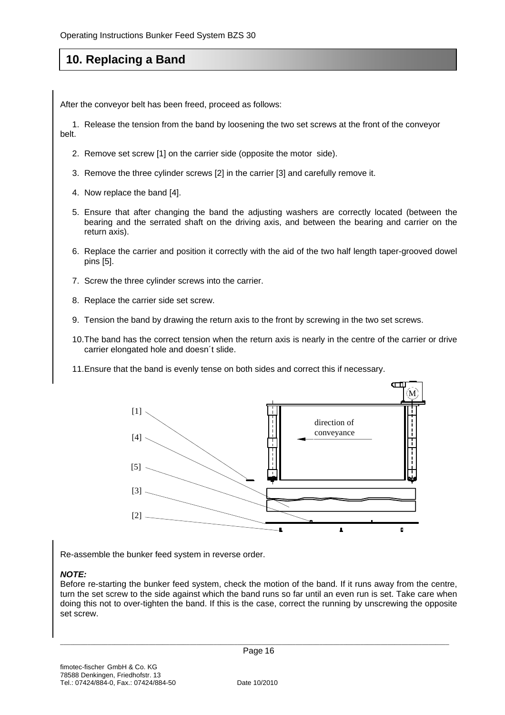### **10. Replacing a Band**

After the conveyor belt has been freed, proceed as follows:

 1. Release the tension from the band by loosening the two set screws at the front of the conveyor belt.

- 2. Remove set screw [1] on the carrier side (opposite the motor side).
- 3. Remove the three cylinder screws [2] in the carrier [3] and carefully remove it.
- 4. Now replace the band [4].
- 5. Ensure that after changing the band the adjusting washers are correctly located (between the bearing and the serrated shaft on the driving axis, and between the bearing and carrier on the return axis).
- 6. Replace the carrier and position it correctly with the aid of the two half length taper-grooved dowel pins [5].
- 7. Screw the three cylinder screws into the carrier.
- 8. Replace the carrier side set screw.
- 9. Tension the band by drawing the return axis to the front by screwing in the two set screws.
- 10. The band has the correct tension when the return axis is nearly in the centre of the carrier or drive carrier elongated hole and doesn´t slide.
- 11. Ensure that the band is evenly tense on both sides and correct this if necessary.



Re-assemble the bunker feed system in reverse order.

#### *NOTE:*

Before re-starting the bunker feed system, check the motion of the band. If it runs away from the centre, turn the set screw to the side against which the band runs so far until an even run is set. Take care when doing this not to over-tighten the band. If this is the case, correct the running by unscrewing the opposite set screw.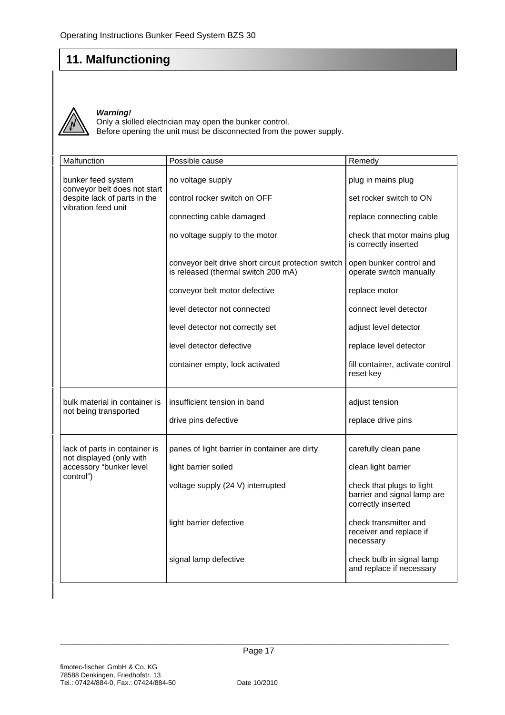### **11. Malfunctioning**



#### *Warning!*

Only a skilled electrician may open the bunker control. Before opening the unit must be disconnected from the power supply.

| Malfunction                                               | Possible cause                                                                             | Remedy                                                                         |  |  |
|-----------------------------------------------------------|--------------------------------------------------------------------------------------------|--------------------------------------------------------------------------------|--|--|
| bunker feed system<br>conveyor belt does not start        | no voltage supply                                                                          | plug in mains plug                                                             |  |  |
| despite lack of parts in the<br>vibration feed unit       | control rocker switch on OFF                                                               | set rocker switch to ON                                                        |  |  |
|                                                           | connecting cable damaged                                                                   | replace connecting cable                                                       |  |  |
|                                                           | no voltage supply to the motor                                                             | check that motor mains plug<br>is correctly inserted                           |  |  |
|                                                           | conveyor belt drive short circuit protection switch<br>is released (thermal switch 200 mA) | open bunker control and<br>operate switch manually                             |  |  |
|                                                           | conveyor belt motor defective                                                              | replace motor                                                                  |  |  |
|                                                           | level detector not connected                                                               | connect level detector                                                         |  |  |
|                                                           | level detector not correctly set                                                           | adjust level detector                                                          |  |  |
|                                                           | level detector defective                                                                   | replace level detector                                                         |  |  |
|                                                           | container empty, lock activated                                                            | fill container, activate control<br>reset key                                  |  |  |
| bulk material in container is<br>not being transported    | insufficient tension in band                                                               | adjust tension                                                                 |  |  |
|                                                           | drive pins defective                                                                       | replace drive pins                                                             |  |  |
| lack of parts in container is<br>not displayed (only with | panes of light barrier in container are dirty                                              | carefully clean pane                                                           |  |  |
| accessory "bunker level<br>control")                      | light barrier soiled                                                                       | clean light barrier                                                            |  |  |
|                                                           | voltage supply (24 V) interrupted                                                          | check that plugs to light<br>barrier and signal lamp are<br>correctly inserted |  |  |
|                                                           | light barrier defective                                                                    | check transmitter and<br>receiver and replace if<br>necessary                  |  |  |
|                                                           | signal lamp defective                                                                      | check bulb in signal lamp<br>and replace if necessary                          |  |  |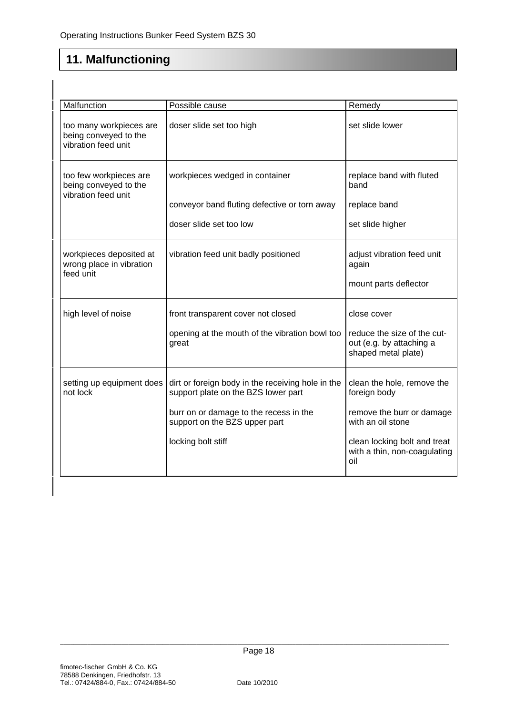# **11. Malfunctioning**

| Malfunction                                                             | Possible cause                                                                                                                                                                            | Remedy                                                                                                                                                              |  |  |
|-------------------------------------------------------------------------|-------------------------------------------------------------------------------------------------------------------------------------------------------------------------------------------|---------------------------------------------------------------------------------------------------------------------------------------------------------------------|--|--|
| too many workpieces are<br>being conveyed to the<br>vibration feed unit | doser slide set too high                                                                                                                                                                  | set slide lower                                                                                                                                                     |  |  |
| too few workpieces are<br>being conveyed to the<br>vibration feed unit  | workpieces wedged in container                                                                                                                                                            | replace band with fluted<br>band                                                                                                                                    |  |  |
|                                                                         | conveyor band fluting defective or torn away                                                                                                                                              | replace band                                                                                                                                                        |  |  |
|                                                                         | doser slide set too low                                                                                                                                                                   | set slide higher                                                                                                                                                    |  |  |
| workpieces deposited at<br>wrong place in vibration<br>feed unit        | vibration feed unit badly positioned                                                                                                                                                      | adjust vibration feed unit<br>again<br>mount parts deflector<br>close cover<br>reduce the size of the cut-<br>out (e.g. by attaching a<br>shaped metal plate)       |  |  |
| high level of noise                                                     | front transparent cover not closed<br>opening at the mouth of the vibration bowl too<br>great                                                                                             |                                                                                                                                                                     |  |  |
| setting up equipment does<br>not lock                                   | dirt or foreign body in the receiving hole in the<br>support plate on the BZS lower part<br>burr on or damage to the recess in the<br>support on the BZS upper part<br>locking bolt stiff | clean the hole, remove the<br>foreign body<br>remove the burr or damage<br>with an oil stone<br>clean locking bolt and treat<br>with a thin, non-coagulating<br>oil |  |  |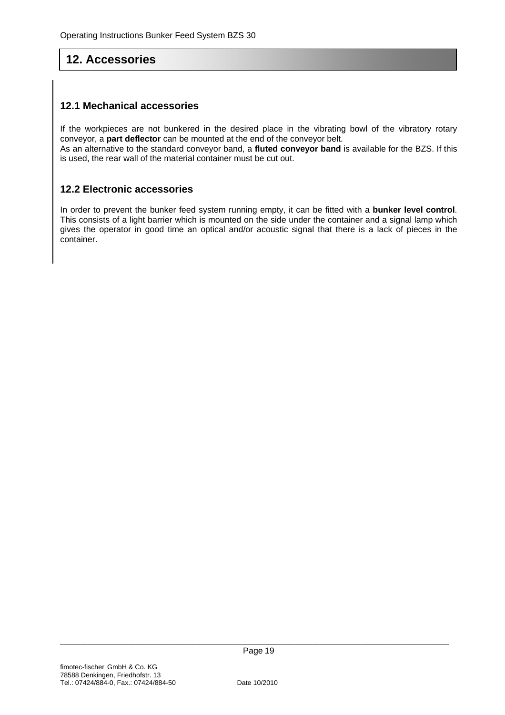### **12. Accessories**

#### **12.1 Mechanical accessories**

If the workpieces are not bunkered in the desired place in the vibrating bowl of the vibratory rotary conveyor, a **part deflector** can be mounted at the end of the conveyor belt. As an alternative to the standard conveyor band, a **fluted conveyor band** is available for the BZS. If this is used, the rear wall of the material container must be cut out.

#### **12.2 Electronic accessories**

In order to prevent the bunker feed system running empty, it can be fitted with a **bunker level control**. This consists of a light barrier which is mounted on the side under the container and a signal lamp which gives the operator in good time an optical and/or acoustic signal that there is a lack of pieces in the container.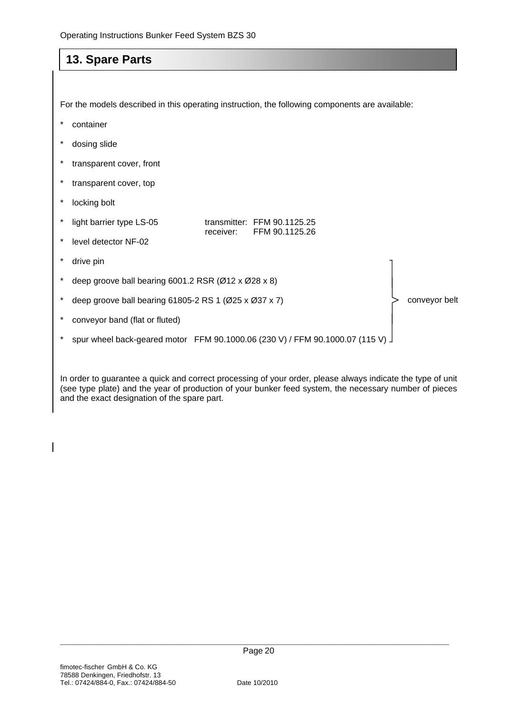#### **13. Spare Parts**

For the models described in this operating instruction, the following components are available:

- \* container
- dosing slide
- transparent cover, front
- transparent cover, top
- \* locking bolt

| light barrier type LS-05                                                     | receiver: | transmitter: FFM $90.1125.25$<br>FFM 90.1125.26                                |  |               |
|------------------------------------------------------------------------------|-----------|--------------------------------------------------------------------------------|--|---------------|
| level detector NF-02                                                         |           |                                                                                |  |               |
| drive pin                                                                    |           |                                                                                |  |               |
| deep groove ball bearing 6001.2 RSR ( $\emptyset$ 12 x $\emptyset$ 28 x 8)   |           |                                                                                |  |               |
| deep groove ball bearing 61805-2 RS 1 ( $\emptyset$ 25 x $\emptyset$ 37 x 7) |           |                                                                                |  | conveyor belt |
| conveyor band (flat or fluted)                                               |           |                                                                                |  |               |
|                                                                              |           | spur wheel back-geared motor FFM 90.1000.06 (230 V) / FFM 90.1000.07 (115 V) J |  |               |

In order to guarantee a quick and correct processing of your order, please always indicate the type of unit (see type plate) and the year of production of your bunker feed system, the necessary number of pieces and the exact designation of the spare part.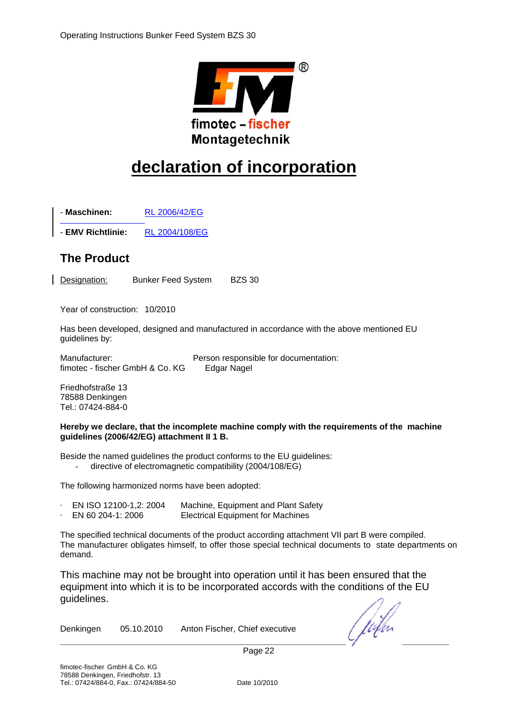

# **declaration of incorporation**

- **Maschinen:** RL 2006/42/EG

1 - **EMV Richtlinie:** RL 2004/108/EG

### **The Product**

Designation: Bunker Feed System BZS 30

Year of construction: 10/2010

Has been developed, designed and manufactured in accordance with the above mentioned EU guidelines by:

Manufacturer: Person responsible for documentation: fimotec - fischer GmbH & Co. KG Edgar Nagel

Friedhofstraße 13 78588 Denkingen Tel.: 07424-884-0

**Hereby we declare, that the incomplete machine comply with the requirements of the machine guidelines (2006/42/EG) attachment II 1 B.** 

Beside the named guidelines the product conforms to the EU guidelines:

directive of electromagnetic compatibility (2004/108/EG)

The following harmonized norms have been adopted:

- EN ISO 12100-1,2: 2004 Machine, Equipment and Plant Safety<br>EN 60 204-1: 2006 Electrical Equipment for Machines
- **Electrical Equipment for Machines**

The specified technical documents of the product according attachment VII part B were compiled. The manufacturer obligates himself, to offer those special technical documents to state departments on demand.

This machine may not be brought into operation until it has been ensured that the equipment into which it is to be incorporated accords with the conditions of the EU guidelines.

Denkingen 05.10.2010 Anton Fischer, Chief executive

 $\mathcal{L}_{\mathcal{I}}$  , and the set of the set of the set of the set of the set of the set of the set of the set of the set of the set of the set of the set of the set of the set of the set of the set of the set of the set of th